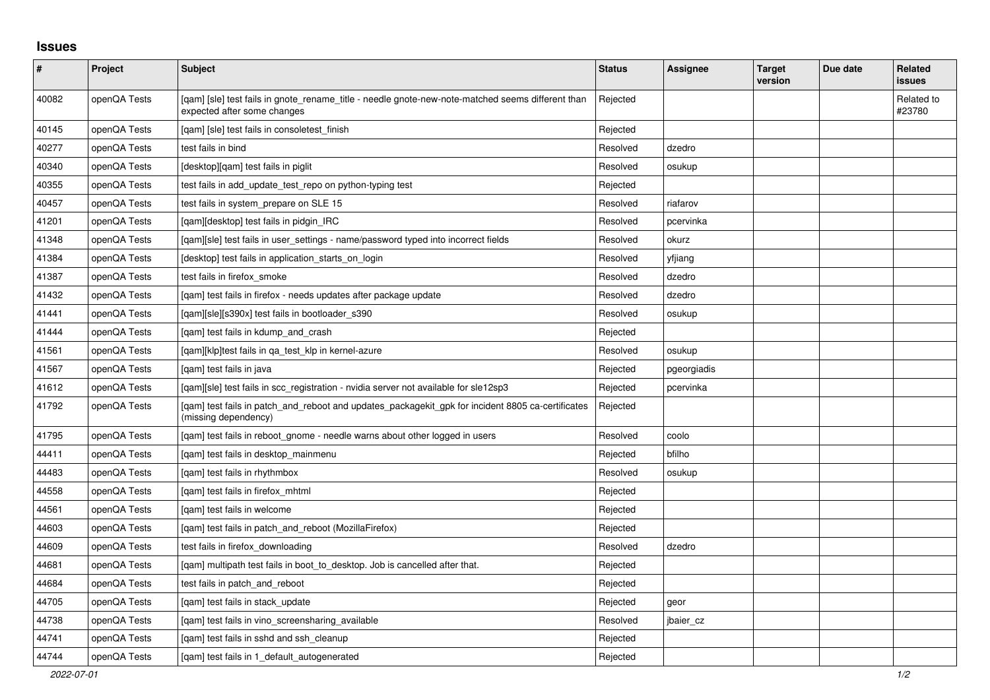## **Issues**

| $\pmb{\#}$ | Project      | <b>Subject</b>                                                                                                                   | <b>Status</b> | Assignee    | <b>Target</b><br>version | Due date | Related<br><b>issues</b> |
|------------|--------------|----------------------------------------------------------------------------------------------------------------------------------|---------------|-------------|--------------------------|----------|--------------------------|
| 40082      | openQA Tests | [gam] [sle] test fails in gnote_rename_title - needle gnote-new-note-matched seems different than<br>expected after some changes | Rejected      |             |                          |          | Related to<br>#23780     |
| 40145      | openQA Tests | [gam] [sle] test fails in consoletest finish                                                                                     | Rejected      |             |                          |          |                          |
| 40277      | openQA Tests | test fails in bind                                                                                                               | Resolved      | dzedro      |                          |          |                          |
| 40340      | openQA Tests | [desktop][qam] test fails in piglit                                                                                              | Resolved      | osukup      |                          |          |                          |
| 40355      | openQA Tests | test fails in add_update_test_repo on python-typing test                                                                         | Rejected      |             |                          |          |                          |
| 40457      | openQA Tests | test fails in system prepare on SLE 15                                                                                           | Resolved      | riafarov    |                          |          |                          |
| 41201      | openQA Tests | [gam][desktop] test fails in pidgin IRC                                                                                          | Resolved      | pcervinka   |                          |          |                          |
| 41348      | openQA Tests | [qam][sle] test fails in user_settings - name/password typed into incorrect fields                                               | Resolved      | okurz       |                          |          |                          |
| 41384      | openQA Tests | [desktop] test fails in application_starts_on_login                                                                              | Resolved      | yfjiang     |                          |          |                          |
| 41387      | openQA Tests | test fails in firefox smoke                                                                                                      | Resolved      | dzedro      |                          |          |                          |
| 41432      | openQA Tests | [gam] test fails in firefox - needs updates after package update                                                                 | Resolved      | dzedro      |                          |          |                          |
| 41441      | openQA Tests | [gam][sle][s390x] test fails in bootloader s390                                                                                  | Resolved      | osukup      |                          |          |                          |
| 41444      | openQA Tests | [qam] test fails in kdump_and_crash                                                                                              | Rejected      |             |                          |          |                          |
| 41561      | openQA Tests | [qam][klp]test fails in qa_test_klp in kernel-azure                                                                              | Resolved      | osukup      |                          |          |                          |
| 41567      | openQA Tests | [gam] test fails in java                                                                                                         | Rejected      | pgeorgiadis |                          |          |                          |
| 41612      | openQA Tests | [qam][sle] test fails in scc_registration - nvidia server not available for sle12sp3                                             | Rejected      | pcervinka   |                          |          |                          |
| 41792      | openQA Tests | [qam] test fails in patch_and_reboot and updates_packagekit_gpk for incident 8805 ca-certificates<br>(missing dependency)        | Rejected      |             |                          |          |                          |
| 41795      | openQA Tests | [gam] test fails in reboot gnome - needle warns about other logged in users                                                      | Resolved      | coolo       |                          |          |                          |
| 44411      | openQA Tests | [qam] test fails in desktop_mainmenu                                                                                             | Rejected      | bfilho      |                          |          |                          |
| 44483      | openQA Tests | [qam] test fails in rhythmbox                                                                                                    | Resolved      | osukup      |                          |          |                          |
| 44558      | openQA Tests | [gam] test fails in firefox mhtml                                                                                                | Rejected      |             |                          |          |                          |
| 44561      | openQA Tests | [gam] test fails in welcome                                                                                                      | Rejected      |             |                          |          |                          |
| 44603      | openQA Tests | [qam] test fails in patch_and_reboot (MozillaFirefox)                                                                            | Rejected      |             |                          |          |                          |
| 44609      | openQA Tests | test fails in firefox downloading                                                                                                | Resolved      | dzedro      |                          |          |                          |
| 44681      | openQA Tests | [gam] multipath test fails in boot_to_desktop. Job is cancelled after that.                                                      | Rejected      |             |                          |          |                          |
| 44684      | openQA Tests | test fails in patch and reboot                                                                                                   | Rejected      |             |                          |          |                          |
| 44705      | openQA Tests | [gam] test fails in stack update                                                                                                 | Rejected      | geor        |                          |          |                          |
| 44738      | openQA Tests | [qam] test fails in vino_screensharing_available                                                                                 | Resolved      | jbaier_cz   |                          |          |                          |
| 44741      | openQA Tests | [qam] test fails in sshd and ssh_cleanup                                                                                         | Rejected      |             |                          |          |                          |
| 44744      | openQA Tests | [gam] test fails in 1 default autogenerated                                                                                      | Rejected      |             |                          |          |                          |